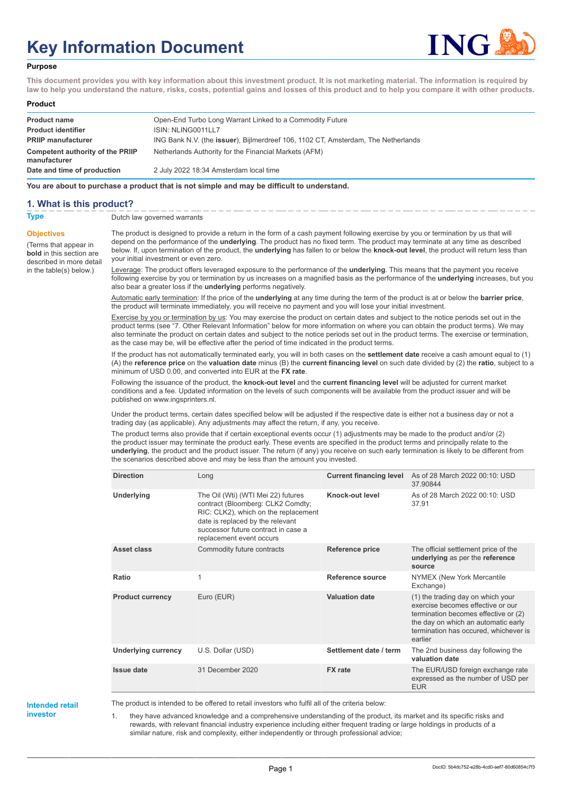# **Key Information Document**



#### **Purpose**

**This document provides you with key information about this investment product. It is not marketing material. The information is required by law to help you understand the nature, risks, costs, potential gains and losses of this product and to help you compare it with other products.**

#### **Product**

| <b>Product name</b>                              | Open-End Turbo Long Warrant Linked to a Commodity Future                          |
|--------------------------------------------------|-----------------------------------------------------------------------------------|
| <b>Product identifier</b>                        | ISIN: NLING0011LL7                                                                |
| <b>PRIIP manufacturer</b>                        | ING Bank N.V. (the issuer), Bijlmerdreef 106, 1102 CT, Amsterdam, The Netherlands |
| Competent authority of the PRIIP<br>manufacturer | Netherlands Authority for the Financial Markets (AFM)                             |
| Date and time of production                      | 2 July 2022 18:34 Amsterdam local time                                            |

**You are about to purchase a product that is not simple and may be difficult to understand.**

### **1. What is this product?**

**Objectives**

(Terms that appear in **bold** in this section are

in the table(s) below.)

**Type** Dutch law governed warrants

described in more detail The product is designed to provide a return in the form of a cash payment following exercise by you or termination by us that will depend on the performance of the **underlying**. The product has no fixed term. The product may terminate at any time as described below. If, upon termination of the product, the **underlying** has fallen to or below the **knock-out level**, the product will return less than your initial investment or even zero.

> Leverage: The product offers leveraged exposure to the performance of the **underlying**. This means that the payment you receive following exercise by you or termination by us increases on a magnified basis as the performance of the **underlying** increases, but you also bear a greater loss if the **underlying** performs negatively.

Automatic early termination: If the price of the **underlying** at any time during the term of the product is at or below the **barrier price**, the product will terminate immediately, you will receive no payment and you will lose your initial investment.

Exercise by you or termination by us: You may exercise the product on certain dates and subject to the notice periods set out in the product terms (see "7. Other Relevant Information" below for more information on where you can obtain the product terms). We may also terminate the product on certain dates and subject to the notice periods set out in the product terms. The exercise or termination, as the case may be, will be effective after the period of time indicated in the product terms.

If the product has not automatically terminated early, you will in both cases on the **settlement date** receive a cash amount equal to (1) (A) the **reference price** on the **valuation date** minus (B) the **current financing level** on such date divided by (2) the **ratio**, subject to a minimum of USD 0.00, and converted into EUR at the **FX rate**.

Following the issuance of the product, the **knock-out level** and the **current financing level** will be adjusted for current market conditions and a fee. Updated information on the levels of such components will be available from the product issuer and will be published on www.ingsprinters.nl.

Under the product terms, certain dates specified below will be adjusted if the respective date is either not a business day or not a trading day (as applicable). Any adjustments may affect the return, if any, you receive.

The product terms also provide that if certain exceptional events occur (1) adjustments may be made to the product and/or (2) the product issuer may terminate the product early. These events are specified in the product terms and principally relate to the **underlying**, the product and the product issuer. The return (if any) you receive on such early termination is likely to be different from the scenarios described above and may be less than the amount you invested.

| <b>Direction</b>           | Long                                                                                                                                                                                                                   | <b>Current financing level</b> | As of 28 March 2022 00:10: USD<br>37.90844                                                                                                                                                                |
|----------------------------|------------------------------------------------------------------------------------------------------------------------------------------------------------------------------------------------------------------------|--------------------------------|-----------------------------------------------------------------------------------------------------------------------------------------------------------------------------------------------------------|
| Underlying                 | The Oil (Wti) (WTI Mei 22) futures<br>contract (Bloomberg: CLK2 Comdty;<br>RIC: CLK2), which on the replacement<br>date is replaced by the relevant<br>successor future contract in case a<br>replacement event occurs | Knock-out level                | As of 28 March 2022 00:10: USD<br>37.91                                                                                                                                                                   |
| Asset class                | Commodity future contracts                                                                                                                                                                                             | <b>Reference price</b>         | The official settlement price of the<br>underlying as per the reference<br>source                                                                                                                         |
| Ratio                      | 1                                                                                                                                                                                                                      | Reference source               | NYMEX (New York Mercantile<br>Exchange)                                                                                                                                                                   |
| <b>Product currency</b>    | Euro (EUR)                                                                                                                                                                                                             | <b>Valuation date</b>          | (1) the trading day on which your<br>exercise becomes effective or our<br>termination becomes effective or (2)<br>the day on which an automatic early<br>termination has occured, whichever is<br>earlier |
| <b>Underlying currency</b> | U.S. Dollar (USD)                                                                                                                                                                                                      | Settlement date / term         | The 2nd business day following the<br>valuation date                                                                                                                                                      |
| <b>Issue date</b>          | 31 December 2020                                                                                                                                                                                                       | <b>FX</b> rate                 | The EUR/USD foreign exchange rate<br>expressed as the number of USD per<br><b>EUR</b>                                                                                                                     |

**Intended retail investor**

The product is intended to be offered to retail investors who fulfil all of the criteria below:

1. they have advanced knowledge and a comprehensive understanding of the product, its market and its specific risks and rewards, with relevant financial industry experience including either frequent trading or large holdings in products of a similar nature, risk and complexity, either independently or through professional advice;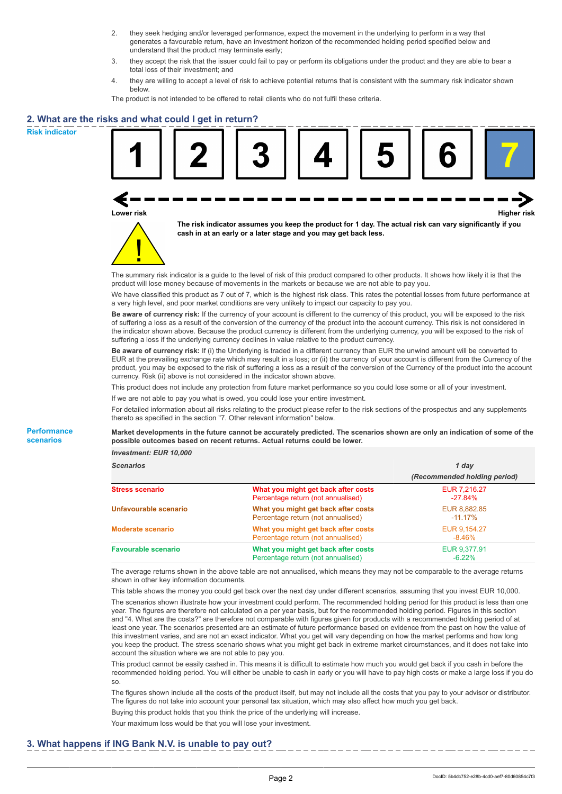- 2. they seek hedging and/or leveraged performance, expect the movement in the underlying to perform in a way that generates a favourable return, have an investment horizon of the recommended holding period specified below and understand that the product may terminate early;
- 3. they accept the risk that the issuer could fail to pay or perform its obligations under the product and they are able to bear a total loss of their investment; and
- 4. they are willing to accept a level of risk to achieve potential returns that is consistent with the summary risk indicator shown below.

The product is not intended to be offered to retail clients who do not fulfil these criteria.

## **2. What are the risks and what could I get in return?**

**Risk indicator**

**Performance scenarios**





**The risk indicator assumes you keep the product for 1 day. The actual risk can vary significantly if you cash in at an early or a later stage and you may get back less.**

The summary risk indicator is a guide to the level of risk of this product compared to other products. It shows how likely it is that the product will lose money because of movements in the markets or because we are not able to pay you.

We have classified this product as 7 out of 7, which is the highest risk class. This rates the potential losses from future performance at a very high level, and poor market conditions are very unlikely to impact our capacity to pay you.

**Be aware of currency risk:** If the currency of your account is different to the currency of this product, you will be exposed to the risk of suffering a loss as a result of the conversion of the currency of the product into the account currency. This risk is not considered in the indicator shown above. Because the product currency is different from the underlying currency, you will be exposed to the risk of suffering a loss if the underlying currency declines in value relative to the product currency.

**Be aware of currency risk:** If (i) the Underlying is traded in a different currency than EUR the unwind amount will be converted to EUR at the prevailing exchange rate which may result in a loss; or (ii) the currency of your account is different from the Currency of the product, you may be exposed to the risk of suffering a loss as a result of the conversion of the Currency of the product into the account currency. Risk (ii) above is not considered in the indicator shown above.

This product does not include any protection from future market performance so you could lose some or all of your investment.

If we are not able to pay you what is owed, you could lose your entire investment.

For detailed information about all risks relating to the product please refer to the risk sections of the prospectus and any supplements thereto as specified in the section "7. Other relevant information" below.

**Market developments in the future cannot be accurately predicted. The scenarios shown are only an indication of some of the possible outcomes based on recent returns. Actual returns could be lower.**

*Investment: EUR 10,000*

| <b>Scenarios</b>           |                                                                           | 1 day                        |  |
|----------------------------|---------------------------------------------------------------------------|------------------------------|--|
|                            |                                                                           | (Recommended holding period) |  |
| Stress scenario            | What you might get back after costs<br>Percentage return (not annualised) | EUR 7,216.27<br>$-27.84\%$   |  |
| Unfavourable scenario      | What you might get back after costs<br>Percentage return (not annualised) | EUR 8,882.85<br>$-11.17\%$   |  |
| <b>Moderate scenario</b>   | What you might get back after costs<br>Percentage return (not annualised) | EUR 9.154.27<br>$-8.46\%$    |  |
| <b>Favourable scenario</b> | What you might get back after costs<br>Percentage return (not annualised) | EUR 9.377.91<br>$-6.22\%$    |  |

The average returns shown in the above table are not annualised, which means they may not be comparable to the average returns shown in other key information documents.

This table shows the money you could get back over the next day under different scenarios, assuming that you invest EUR 10,000. The scenarios shown illustrate how your investment could perform. The recommended holding period for this product is less than one year. The figures are therefore not calculated on a per year basis, but for the recommended holding period. Figures in this section and "4. What are the costs?" are therefore not comparable with figures given for products with a recommended holding period of at least one year. The scenarios presented are an estimate of future performance based on evidence from the past on how the value of this investment varies, and are not an exact indicator. What you get will vary depending on how the market performs and how long you keep the product. The stress scenario shows what you might get back in extreme market circumstances, and it does not take into account the situation where we are not able to pay you.

This product cannot be easily cashed in. This means it is difficult to estimate how much you would get back if you cash in before the recommended holding period. You will either be unable to cash in early or you will have to pay high costs or make a large loss if you do so.

The figures shown include all the costs of the product itself, but may not include all the costs that you pay to your advisor or distributor. The figures do not take into account your personal tax situation, which may also affect how much you get back.

Buying this product holds that you think the price of the underlying will increase.

Your maximum loss would be that you will lose your investment.

## **3. What happens if ING Bank N.V. is unable to pay out?**